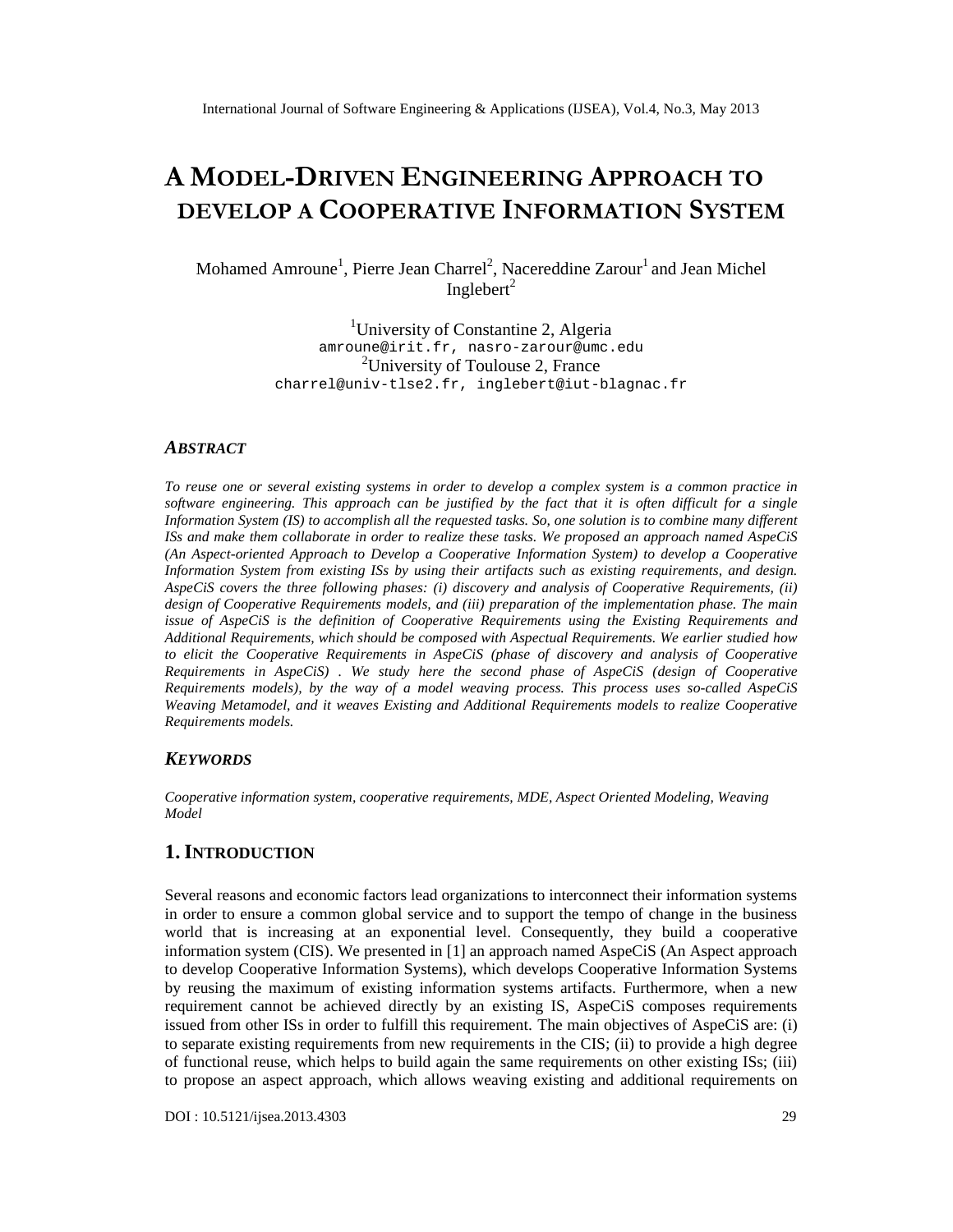# A MODELDRIVENENGINEERINAGPROACH TO DEVELOP COLOPERATIVNE OR MATION STEM

# MohamedAmroune, Pierre Jean Charr̂eNacereddine Zarouand Jean Michel  $Ingleber<sup>2</sup>$

<sup>1</sup>University of Constantine 2, Algeria<br>amroune@irit.fr , nasro - zarour@umc.edu , nasro - [zarour@umc.edu](mailto:nasro-zarour@umc.edu) <sup>2</sup>University of Toulouse 2, France [charrel@univ](mailto:charrel@univ-tlse2.fr) - tlse2.fr , [inglebert@iut](mailto:inglebert@iut-blagnac.fr) - blagnac.fr

# **ABSTRACT**

To reuse one or several existing systems in order to deprese a complex system ais common practice in software engineering. This approach can be justified by falce that it is often difficult for a single Information Syster(IS) to accomplish all the requested tasks. So, one soluttorcombine many different ISs and make them *taboratein order to realize these tasks*. We propose an approach named AspeCiS (An Aspectriented Approach toDevelop a Cooperative Information System) to developogperative Information System from existing ISs by usting artifacts such as existing requirements, and design. AspeCiS covers the three following phases: (i) discoved analysis of Cooperative Requirements, (ii) design ofCooperative Requirements models, and (iii) preparatiothefimplementation phase. The main issue of AspeCiS ishe definition of Cooperative Requirements using the Existing Linements and Additional Requirements, which should composed with Aspectual Requirements. We earlier studived to elicit the Cooperative Requirements in AspeCiSase ofdiscovery and analysis of Cooperative Requirementsin AspeCiS). We study here the second phase of AspeCicesign of Cooperative Requirements models by the way of a model weaving pocess. This process uses cadled AspeCiS Weaving Metanodel, and it weaves Existing and ditional Requirement snodels to realize Cooperative Requirements models.

# **KEYWORDS**

Cooperative information system, cooperative quirements, MDE, Aspect Oriented Modeling, Weaving Model

# 1.I NTRODUCTION

Several reasons and economic factors lead organizations to interconnect their information systems in order to ensure a common global service and to support the tempo of change in the business world that is increasing at an exponential level. Consequettity build a cooperative information system (CIS). We presented 1 an approach named AspeCiS (An Aspect approach to developCooperative Information Systems), which develops Cooperative Information Systems by reusing the maximum of existing information was artifacts. Furthermore, when a new requirement cannot be achieved directly by an existing IS, AspeCiS composes requirements issued from other ISs in order to fulfill this requiremer the main objectives of AspeCiS are: (i) to separate existing requements from new requirements in the CIS; (ii) to provide a high degree of functional reuse, which helps to build again the same requirements on other existing ISs; (iii) to propose an aspect approach, which allowes wing existing and additional requirents on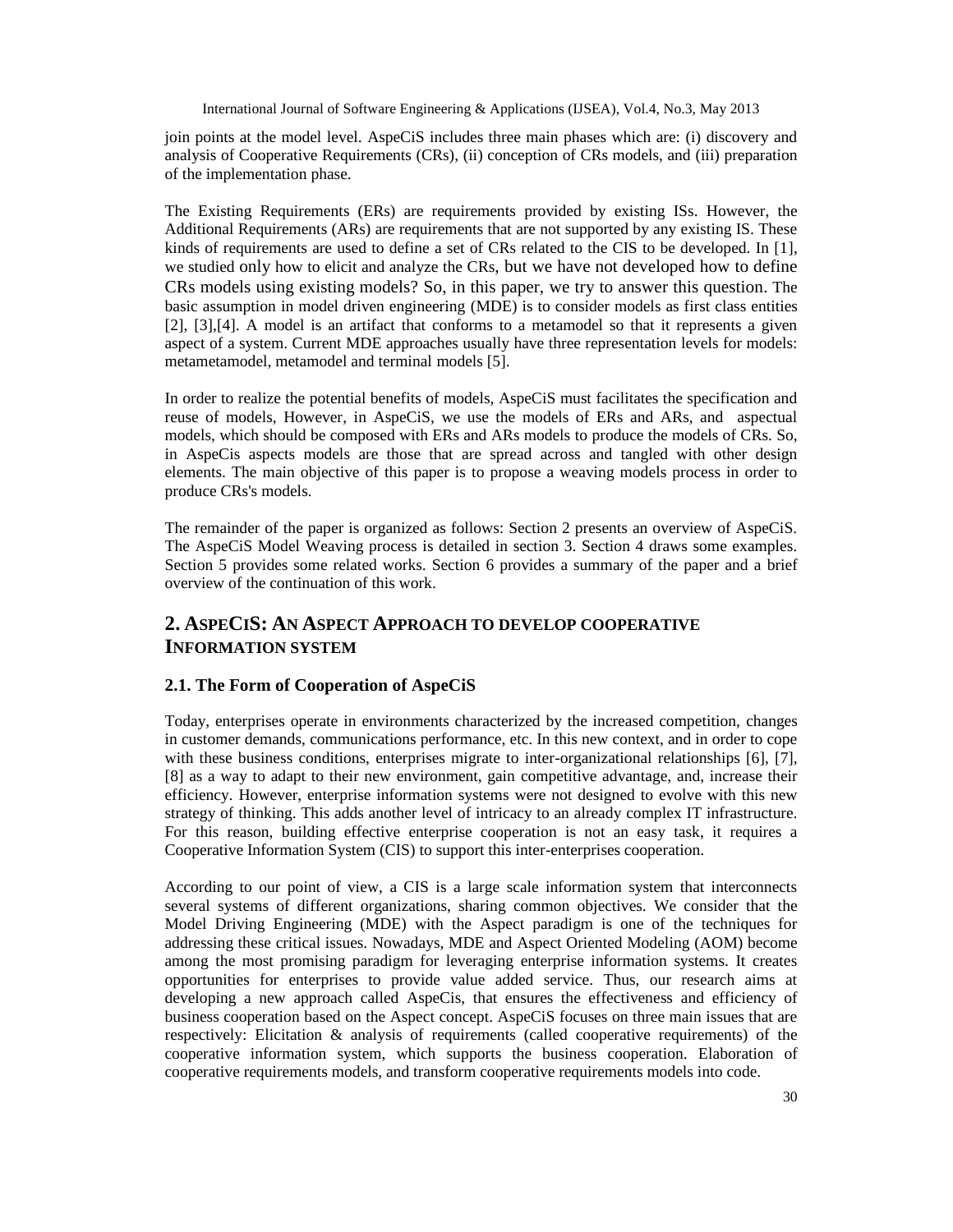join points at the model level. AspeCiS includes three main phases which are: (i) discovery and analysis of Cooperative Requirements (CRs), (ii) conception of CRs models, and (iii) preparation of the implementation phase.

The Existing Requirements (ERs) are requirements provided by existing ISs. However, the Additional Requirements (ARs) are requirements that are not supported by any existing IS. These kinds of requirements are used to define a set of CRs related to the CIS to be developed. In [1], we studied only how to elicit and analyze the CRs, but we have not developed how to define CRs models using existing models? So, in this paper, we try to answer this question. The basic assumption in model driven engineering (MDE) is to consider models as first class entities [2], [3],[4]. A model is an artifact that conforms to a metamodel so that it represents a given aspect of a system. Current MDE approaches usually have three representation levels for models: metametamodel, metamodel and terminal models [5].

In order to realize the potential benefits of models, AspeCiS must facilitates the specification and reuse of models, However, in AspeCiS, we use the models of ERs and ARs, and aspectual models, which should be composed with ERs and ARs models to produce the models of CRs. So, in AspeCis aspects models are those that are spread across and tangled with other design elements. The main objective of this paper is to propose a weaving models process in order to produce CRs's models.

The remainder of the paper is organized as follows: Section 2 presents an overview of AspeCiS. The AspeCiS Model Weaving process is detailed in section 3. Section 4 draws some examples. Section 5 provides some related works. Section 6 provides a summary of the paper and a brief overview of the continuation of this work.

# **2. ASPECIS: AN ASPECT APPROACH TO DEVELOP COOPERATIVE INFORMATION SYSTEM**

# **2.1. The Form of Cooperation of AspeCiS**

Today, enterprises operate in environments characterized by the increased competition, changes in customer demands, communications performance, etc. In this new context, and in order to cope with these business conditions, enterprises migrate to inter-organizational relationships [6], [7], [8] as a way to adapt to their new environment, gain competitive advantage, and, increase their efficiency. However, enterprise information systems were not designed to evolve with this new strategy of thinking. This adds another level of intricacy to an already complex IT infrastructure. For this reason, building effective enterprise cooperation is not an easy task, it requires a Cooperative Information System (CIS) to support this inter-enterprises cooperation.

According to our point of view, a CIS is a large scale information system that interconnects several systems of different organizations, sharing common objectives. We consider that the Model Driving Engineering (MDE) with the Aspect paradigm is one of the techniques for addressing these critical issues. Nowadays, MDE and Aspect Oriented Modeling (AOM) become among the most promising paradigm for leveraging enterprise information systems. It creates opportunities for enterprises to provide value added service. Thus, our research aims at developing a new approach called AspeCis, that ensures the effectiveness and efficiency of business cooperation based on the Aspect concept. AspeCiS focuses on three main issues that are respectively: Elicitation & analysis of requirements (called cooperative requirements) of the cooperative information system, which supports the business cooperation. Elaboration of cooperative requirements models, and transform cooperative requirements models into code.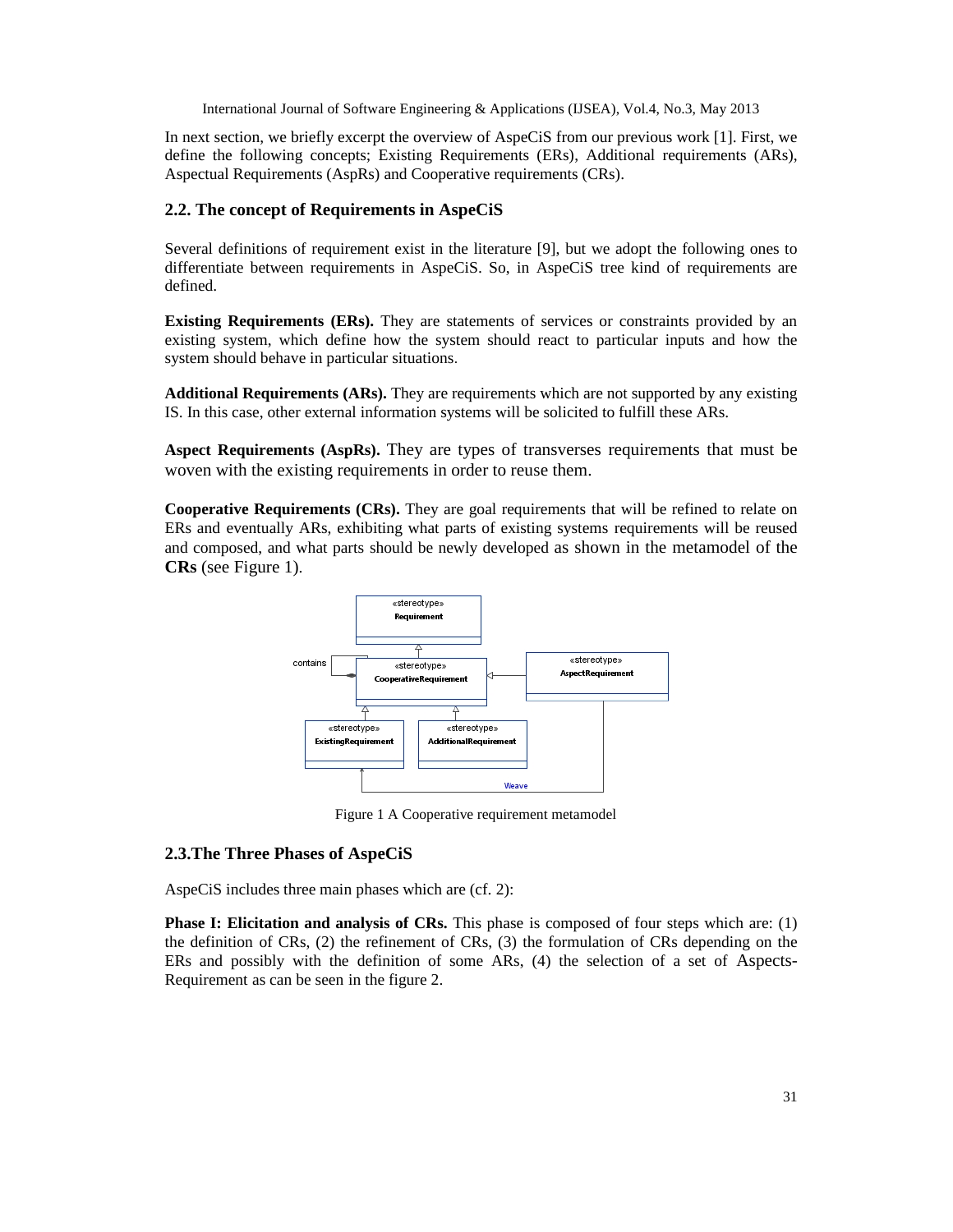In next section, we briefly excerpt the overview of AspeCiS from our previous work [1]. First, we define the following concepts; Existing Requirements (ERs), Additional requirements (ARs), Aspectual Requirements (AspRs) and Cooperative requirements (CRs).

# **2.2. The concept of Requirements in AspeCiS**

Several definitions of requirement exist in the literature [9], but we adopt the following ones to differentiate between requirements in AspeCiS. So, in AspeCiS tree kind of requirements are defined.

**Existing Requirements (ERs).** They are statements of services or constraints provided by an existing system, which define how the system should react to particular inputs and how the system should behave in particular situations.

**Additional Requirements (ARs).** They are requirements which are not supported by any existing IS. In this case, other external information systems will be solicited to fulfill these ARs.

**Aspect Requirements (AspRs).** They are types of transverses requirements that must be woven with the existing requirements in order to reuse them.

**Cooperative Requirements (CRs).** They are goal requirements that will be refined to relate on ERs and eventually ARs, exhibiting what parts of existing systems requirements will be reused and composed, and what parts should be newly developed as shown in the metamodel of the **CRs** (see Figure 1).



Figure 1 A Cooperative requirement metamodel

# **2.3.The Three Phases of AspeCiS**

AspeCiS includes three main phases which are (cf. 2):

**Phase I: Elicitation and analysis of CRs.** This phase is composed of four steps which are: (1) the definition of CRs, (2) the refinement of CRs, (3) the formulation of CRs depending on the ERs and possibly with the definition of some ARs, (4) the selection of a set of Aspects-Requirement as can be seen in the figure 2.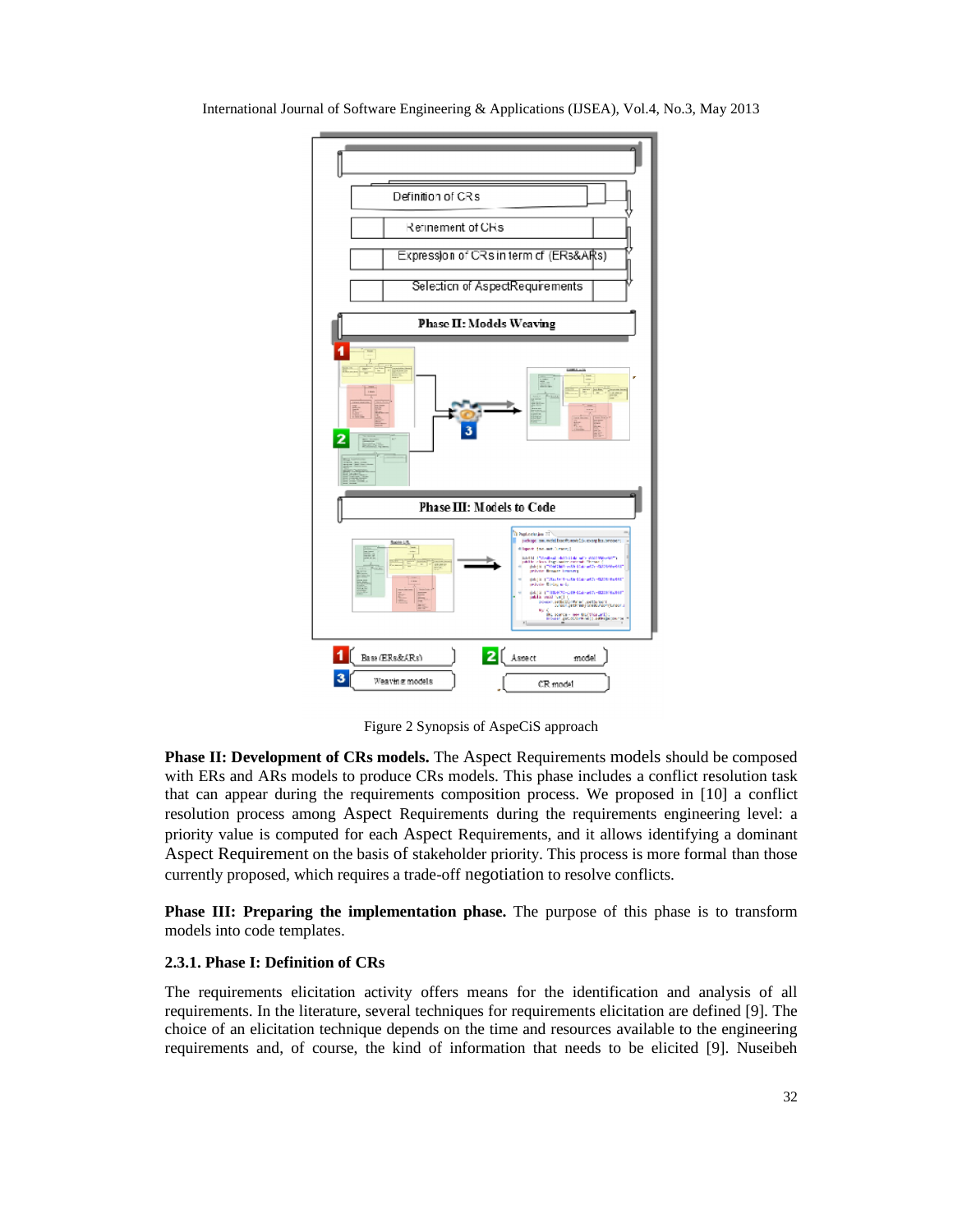

Figure 2 Synopsis of AspeCiS approach

Phase II: Development of CRs models. The Aspect Requirements models should be composed with ERs and ARs models to produce CRs models. This phase includes a conflict resolution task with ERs and ARs models to produce CRs models. This phase includes a conflict resolution task<br>that can appear during the requirements composition process. We proposed in [10] a conflict resolution process among Aspect Requirements during the requirements engineering level: a a priority value is computed for each Aspect Requirements, and it allows identifying a dominant Aspect Requirement on the basis of stakeholder priority. This process is more formal than those currently proposed, which requires a trade-off negotiation to resolve conflicts. with ERs and ARs models to produce CRs models. This phase includes a<br>that can appear during the requirements composition process. We prope<br>resolution process among Aspect Requirements during the requirement<br>priority value

**Phase III: Preparing the implementation phase.** The purpose of this phase is to transform models into code templates. **Phase III: Preparing the implementation phase.** The purpose of this phase is to transform models into code templates.<br> **2.3.1. Phase I: Definition of CRs**<br>
The requirements elicitation activity offers means for the identi

### **2.3.1. Phase I: Definition of CRs**

requirements. In the literature, several techniques for requirements elicitation are defined [9]. The requirements. In the literature, several techniques for requirements elicitation are defined [9]. The choice of an elicitation technique depends on the time and resources available to the engineering requirements and, of course, the kind of information that needs to be elicited [9]. Nuseibeh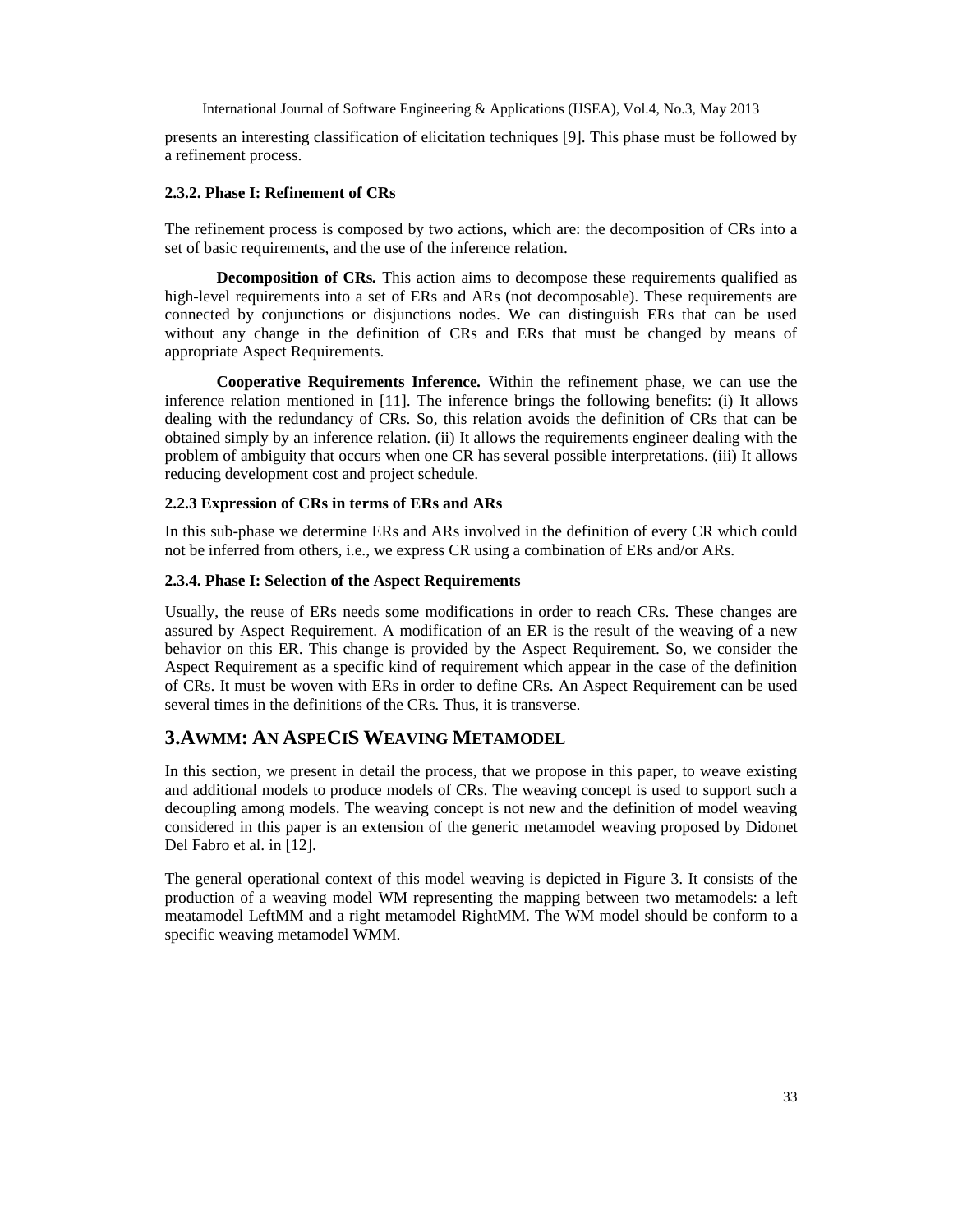presents an interesting classification of elicitation techniques [9]. This phase must be followed by a refinement process.

### **2.3.2. Phase I: Refinement of CRs**

The refinement process is composed by two actions, which are: the decomposition of CRs into a set of basic requirements, and the use of the inference relation.

**Decomposition of CRs***.* This action aims to decompose these requirements qualified as high-level requirements into a set of ERs and ARs (not decomposable). These requirements are connected by conjunctions or disjunctions nodes. We can distinguish ERs that can be used without any change in the definition of CRs and ERs that must be changed by means of appropriate Aspect Requirements.

**Cooperative Requirements Inference***.* Within the refinement phase, we can use the inference relation mentioned in [11]. The inference brings the following benefits: (i) It allows dealing with the redundancy of CRs. So, this relation avoids the definition of CRs that can be obtained simply by an inference relation. (ii) It allows the requirements engineer dealing with the problem of ambiguity that occurs when one CR has several possible interpretations. (iii) It allows reducing development cost and project schedule.

### **2.2.3 Expression of CRs in terms of ERs and ARs**

In this sub-phase we determine ERs and ARs involved in the definition of every CR which could not be inferred from others, i.e., we express CR using a combination of ERs and/or ARs.

# **2.3.4. Phase I: Selection of the Aspect Requirements**

Usually, the reuse of ERs needs some modifications in order to reach CRs. These changes are assured by Aspect Requirement. A modification of an ER is the result of the weaving of a new behavior on this ER. This change is provided by the Aspect Requirement. So, we consider the Aspect Requirement as a specific kind of requirement which appear in the case of the definition of CRs. It must be woven with ERs in order to define CRs. An Aspect Requirement can be used several times in the definitions of the CRs. Thus, it is transverse.

# **3.AWMM: AN ASPECIS WEAVING METAMODEL**

In this section, we present in detail the process, that we propose in this paper, to weave existing and additional models to produce models of CRs. The weaving concept is used to support such a decoupling among models. The weaving concept is not new and the definition of model weaving considered in this paper is an extension of the generic metamodel weaving proposed by Didonet Del Fabro et al. in [12].

The general operational context of this model weaving is depicted in Figure 3. It consists of the production of a weaving model WM representing the mapping between two metamodels: a left meatamodel LeftMM and a right metamodel RightMM. The WM model should be conform to a specific weaving metamodel WMM.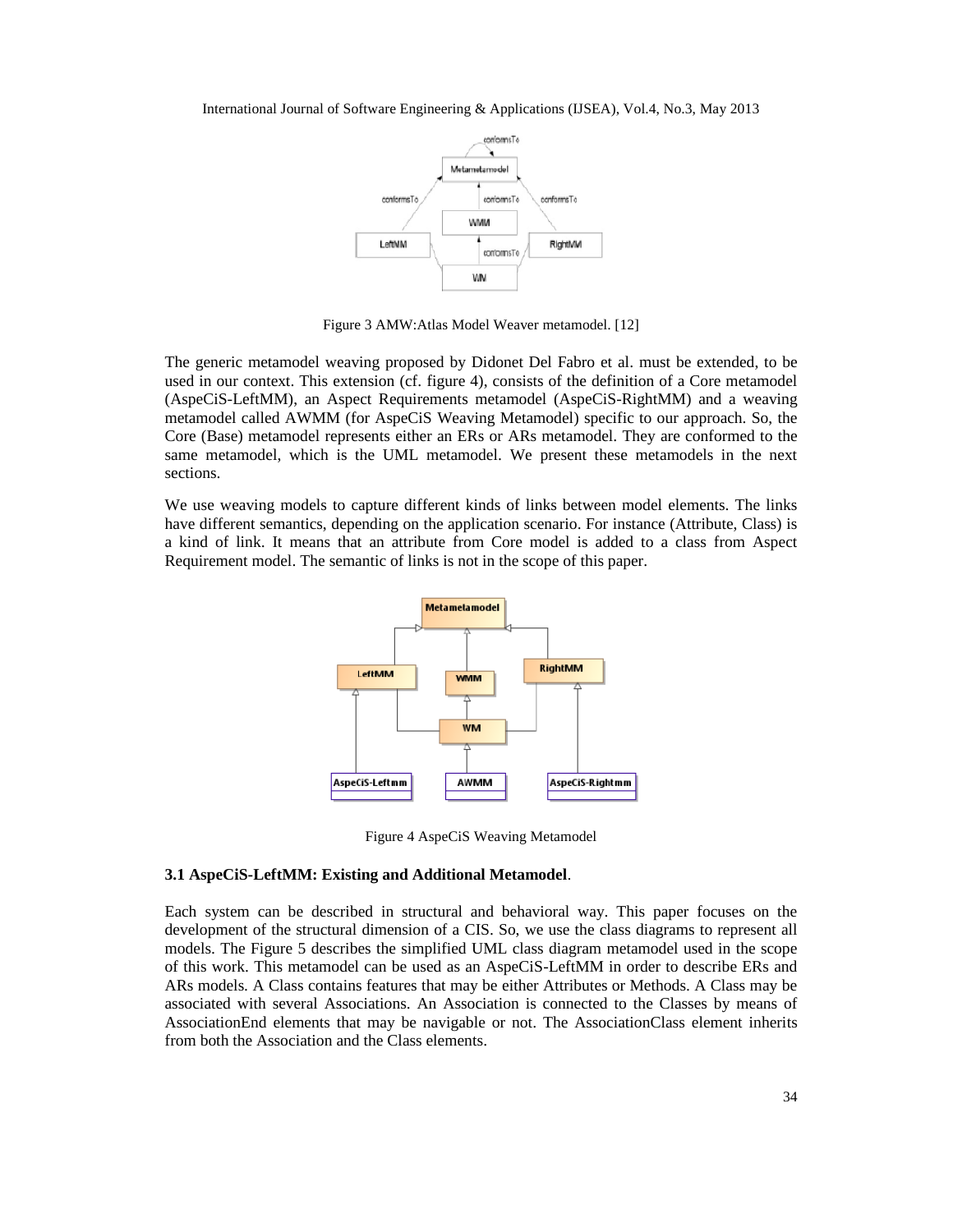

Figure 3 AMW:Atlas Model Weaver metamodel. [12]

The generic metamodel weaving proposed by Didonet Del Fabro et al. must be extended, to be used in our context. This extension (cf. figure 4), consists of the definition of a Core metamodel (AspeCiS-LeftMM), an Aspect Requirements metamodel (AspeCiS-RightMM) and a weaving metamodel called AWMM (for AspeCiS Weaving Metamodel) specific to our approach. So, the Core (Base) metamodel represents either an ERs or ARs metamodel. They are conformed to the same metamodel, which is the UML metamodel. We present these metamodels in the next sections.

We use weaving models to capture different kinds of links between model elements. The links have different semantics, depending on the application scenario. For instance (Attribute, Class) is a kind of link. It means that an attribute from Core model is added to a class from Aspect Requirement model. The semantic of links is not in the scope of this paper.



Figure 4 AspeCiS Weaving Metamodel

#### **3.1 AspeCiS-LeftMM: Existing and Additional Metamodel**.

Each system can be described in structural and behavioral way. This paper focuses on the development of the structural dimension of a CIS. So, we use the class diagrams to represent all models. The Figure 5 describes the simplified UML class diagram metamodel used in the scope of this work. This metamodel can be used as an AspeCiS-LeftMM in order to describe ERs and ARs models. A Class contains features that may be either Attributes or Methods. A Class may be associated with several Associations. An Association is connected to the Classes by means of AssociationEnd elements that may be navigable or not. The AssociationClass element inherits from both the Association and the Class elements.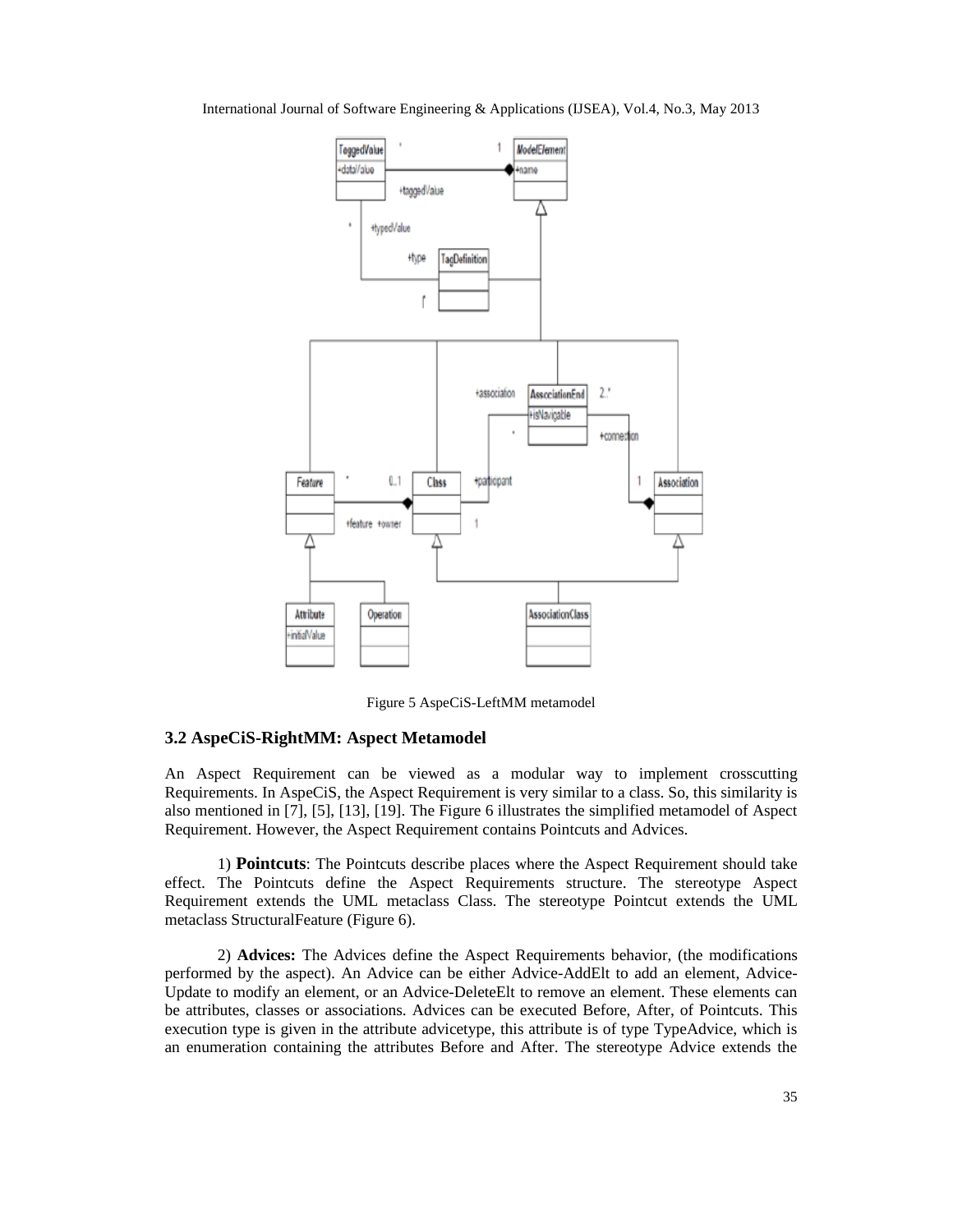

Figure 5 AspeCiS-LeftMM metamodel

### **3.2 AspeCiS-RightMM: Aspect Metamodel**

An Aspect Requirement can be viewed as a modular way to implement crosscutting Requirements. In AspeCiS, the Aspect Requirement is very similar to a class. So, this similarity is also mentioned in [7], [5], [13], [19]. The Figure 6 illustrates the simplified metamodel of Aspect Requirement. However, the Aspect Requirement contains Pointcuts and Advices.

1) **Pointcuts**: The Pointcuts describe places where the Aspect Requirement should take effect. The Pointcuts define the Aspect Requirements structure. The stereotype Aspect Requirement extends the UML metaclass Class. The stereotype Pointcut extends the UML metaclass StructuralFeature (Figure 6).

2) **Advices:** The Advices define the Aspect Requirements behavior, (the modifications performed by the aspect). An Advice can be either Advice-AddElt to add an element, Advice-Update to modify an element, or an Advice-DeleteElt to remove an element. These elements can be attributes, classes or associations. Advices can be executed Before, After, of Pointcuts. This execution type is given in the attribute advicetype, this attribute is of type TypeAdvice, which is an enumeration containing the attributes Before and After. The stereotype Advice extends the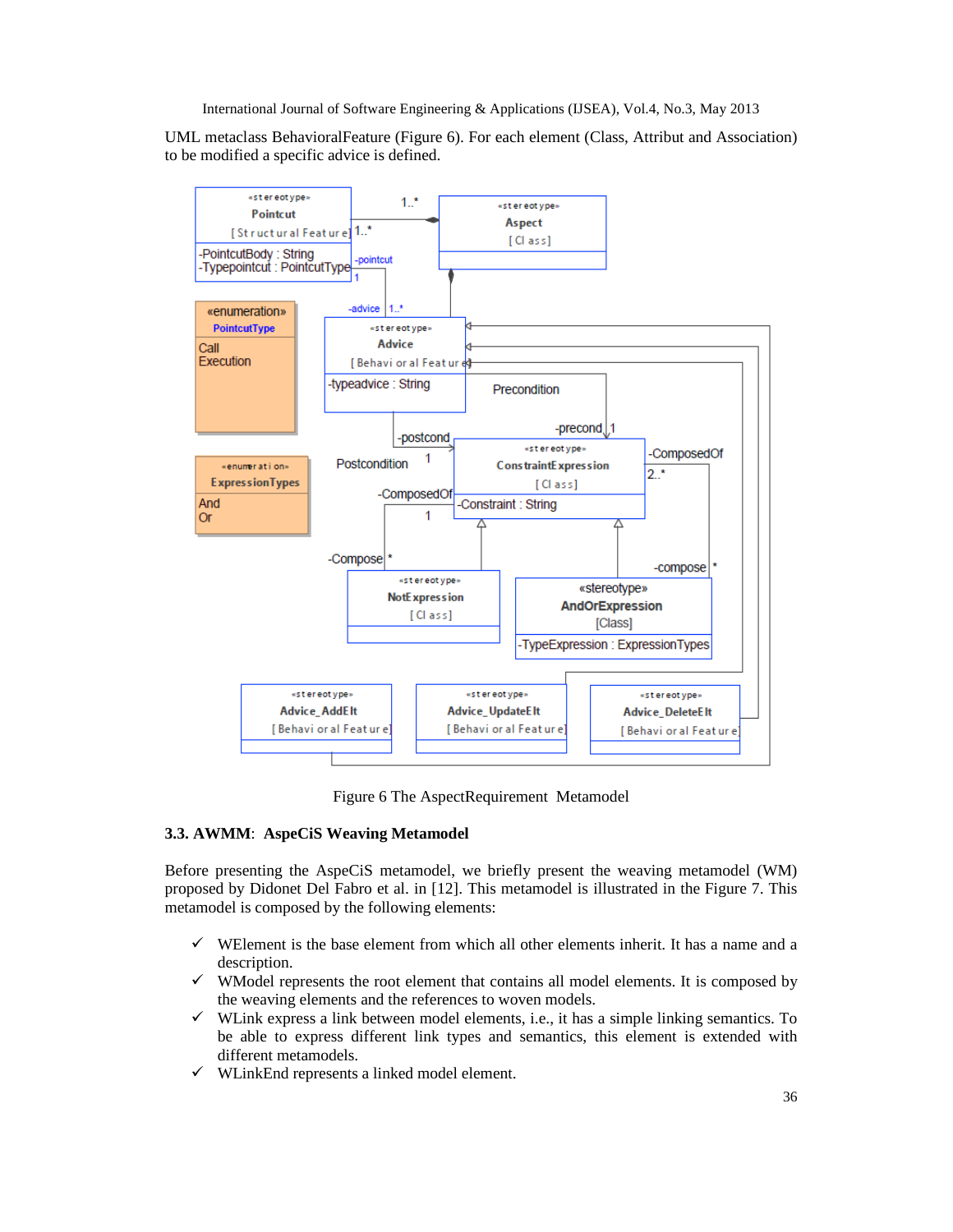UML metaclass BehavioralFeature (Figure 6). For each element (Class, Attribut and Association) to be modified a specific advice is defined.



Figure 6 The AspectRequirement Metamodel

# **3.3. AWMM**: **AspeCiS Weaving Metamodel**

Before presenting the AspeCiS metamodel, we briefly present the weaving metamodel (WM) proposed by Didonet Del Fabro et al. in [12]. This metamodel is illustrated in the Figure 7. This metamodel is composed by the following elements:

- $\checkmark$  WElement is the base element from which all other elements inherit. It has a name and a description.
- $\checkmark$  WModel represents the root element that contains all model elements. It is composed by the weaving elements and the references to woven models.
- $\checkmark$  WLink express a link between model elements, i.e., it has a simple linking semantics. To be able to express different link types and semantics, this element is extended with different metamodels.
- $\checkmark$  WLinkEnd represents a linked model element.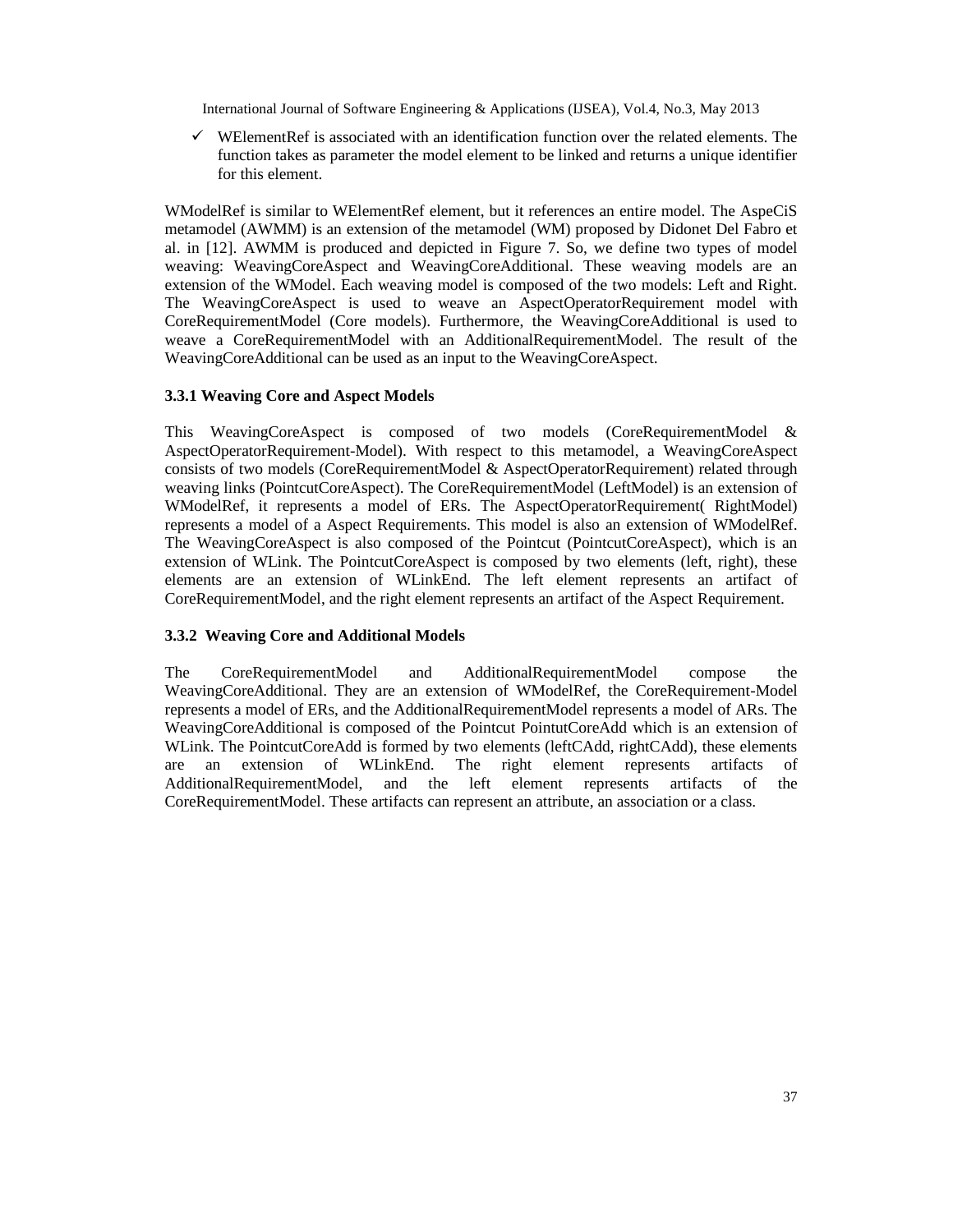$\checkmark$  WElementRef is associated with an identification function over the related elements. The function takes as parameter the model element to be linked and returns a unique identifier for this element.

WModelRef is similar to WElementRef element, but it references an entire model. The AspeCiS metamodel (AWMM) is an extension of the metamodel (WM) proposed by Didonet Del Fabro et al. in [12]. AWMM is produced and depicted in Figure 7. So, we define two types of model weaving: WeavingCoreAspect and WeavingCoreAdditional. These weaving models are an extension of the WModel. Each weaving model is composed of the two models: Left and Right. The WeavingCoreAspect is used to weave an AspectOperatorRequirement model with CoreRequirementModel (Core models). Furthermore, the WeavingCoreAdditional is used to weave a CoreRequirementModel with an AdditionalRequirementModel. The result of the WeavingCoreAdditional can be used as an input to the WeavingCoreAspect.

# **3.3.1 Weaving Core and Aspect Models**

This WeavingCoreAspect is composed of two models (CoreRequirementModel & AspectOperatorRequirement-Model). With respect to this metamodel, a WeavingCoreAspect consists of two models (CoreRequirementModel & AspectOperatorRequirement) related through weaving links (PointcutCoreAspect). The CoreRequirementModel (LeftModel) is an extension of WModelRef, it represents a model of ERs. The AspectOperatorRequirement( RightModel) represents a model of a Aspect Requirements. This model is also an extension of WModelRef. The WeavingCoreAspect is also composed of the Pointcut (PointcutCoreAspect), which is an extension of WLink. The PointcutCoreAspect is composed by two elements (left, right), these elements are an extension of WLinkEnd. The left element represents an artifact of CoreRequirementModel, and the right element represents an artifact of the Aspect Requirement.

# **3.3.2 Weaving Core and Additional Models**

The CoreRequirementModel and AdditionalRequirementModel compose the WeavingCoreAdditional. They are an extension of WModelRef, the CoreRequirement-Model represents a model of ERs, and the AdditionalRequirementModel represents a model of ARs. The WeavingCoreAdditional is composed of the Pointcut PointutCoreAdd which is an extension of WLink. The PointcutCoreAdd is formed by two elements (leftCAdd, rightCAdd), these elements are an extension of WLinkEnd. The right element represents artifacts of AdditionalRequirementModel, and the left element represents artifacts of the CoreRequirementModel. These artifacts can represent an attribute, an association or a class.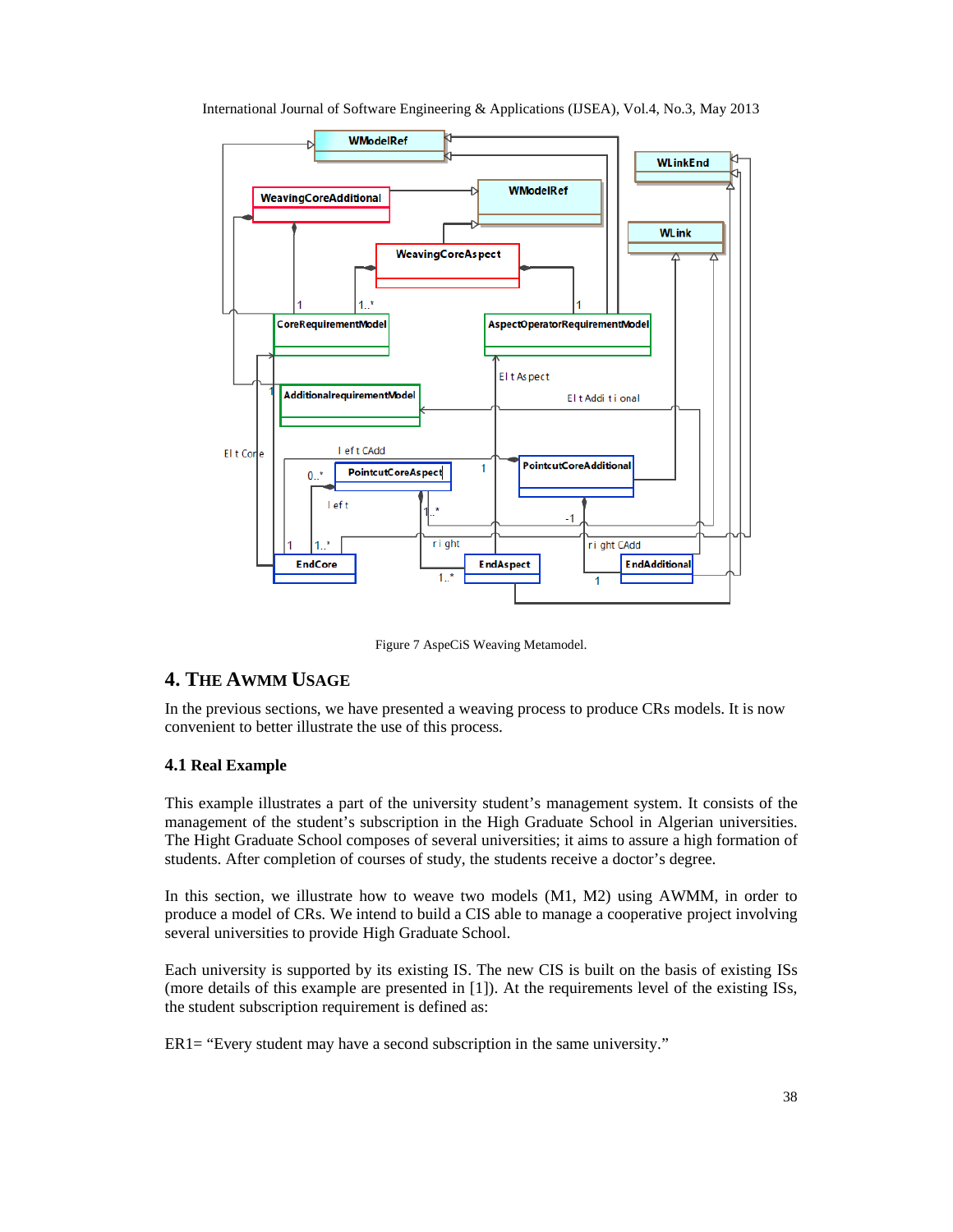

International Journal of Software Engineering & Applications (IJSEA), Vol.4, No.3, May 2013

Figure 7 AspeCiS Weaving Metamodel.

# **4. THE AWMM USAGE**

In the previous sections, we have presented a weaving process to produce CRs models. It is now convenient to better illustrate the use of this process.

# **4.1 Real Example**

This example illustrates a part of the university student's management system. It consists of the management of the student's subscription in the High Graduate School in Algerian universities. The Hight Graduate School composes of several universities; it aims to assure a high formation of students. After completion of courses of study, the students receive a doctor's degree.

In this section, we illustrate how to weave two models (M1, M2) using AWMM, in order to produce a model of CRs. We intend to build a CIS able to manage a cooperative project involving several universities to provide High Graduate School.

Each university is supported by its existing IS. The new CIS is built on the basis of existing ISs (more details of this example are presented in [1]). At the requirements level of the existing ISs, the student subscription requirement is defined as:

ER1= "Every student may have a second subscription in the same university."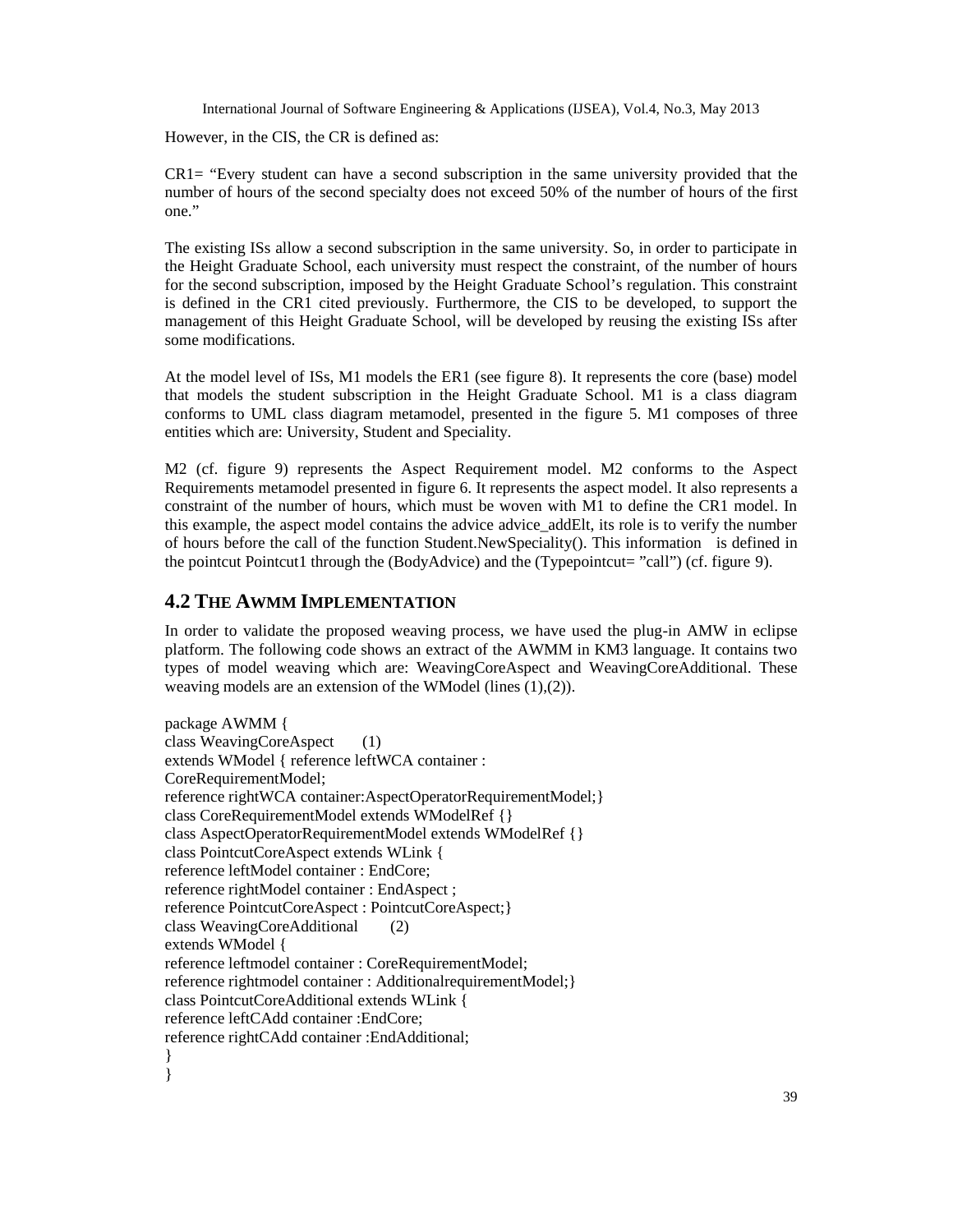However, in the CIS, the CR is defined as:

 $CRI =$  "Every student can have a second subscription in the same university provided that the number of hours of the second specialty does not exceed 50% of the number of hours of the first one."

The existing ISs allow a second subscription in the same university. So, in order to participate in the Height Graduate School, each university must respect the constraint, of the number of hours for the second subscription, imposed by the Height Graduate School's regulation. This constraint is defined in the CR1 cited previously. Furthermore, the CIS to be developed, to support the management of this Height Graduate School, will be developed by reusing the existing ISs after some modifications.

At the model level of ISs, M1 models the ER1 (see figure 8). It represents the core (base) model that models the student subscription in the Height Graduate School. M1 is a class diagram conforms to UML class diagram metamodel, presented in the figure 5. M1 composes of three entities which are: University, Student and Speciality.

M2 (cf. figure 9) represents the Aspect Requirement model. M2 conforms to the Aspect Requirements metamodel presented in figure 6. It represents the aspect model. It also represents a constraint of the number of hours, which must be woven with M1 to define the CR1 model. In this example, the aspect model contains the advice advice addElt, its role is to verify the number of hours before the call of the function Student.NewSpeciality(). This information is defined in the pointcut Pointcut1 through the (BodyAdvice) and the (Typepointcut= "call") (cf. figure 9).

# **4.2 THE AWMM IMPLEMENTATION**

In order to validate the proposed weaving process, we have used the plug-in AMW in eclipse platform. The following code shows an extract of the AWMM in KM3 language. It contains two types of model weaving which are: WeavingCoreAspect and WeavingCoreAdditional. These weaving models are an extension of the WModel (lines (1),(2)).

package AWMM { class WeavingCoreAspect (1) extends WModel { reference leftWCA container : CoreRequirementModel; reference rightWCA container:AspectOperatorRequirementModel;} class CoreRequirementModel extends WModelRef {} class AspectOperatorRequirementModel extends WModelRef {} class PointcutCoreAspect extends WLink { reference leftModel container : EndCore; reference rightModel container : EndAspect ; reference PointcutCoreAspect : PointcutCoreAspect;} class WeavingCoreAdditional (2) extends WModel { reference leftmodel container : CoreRequirementModel; reference rightmodel container : AdditionalrequirementModel;} class PointcutCoreAdditional extends WLink { reference leftCAdd container :EndCore; reference rightCAdd container :EndAdditional; } }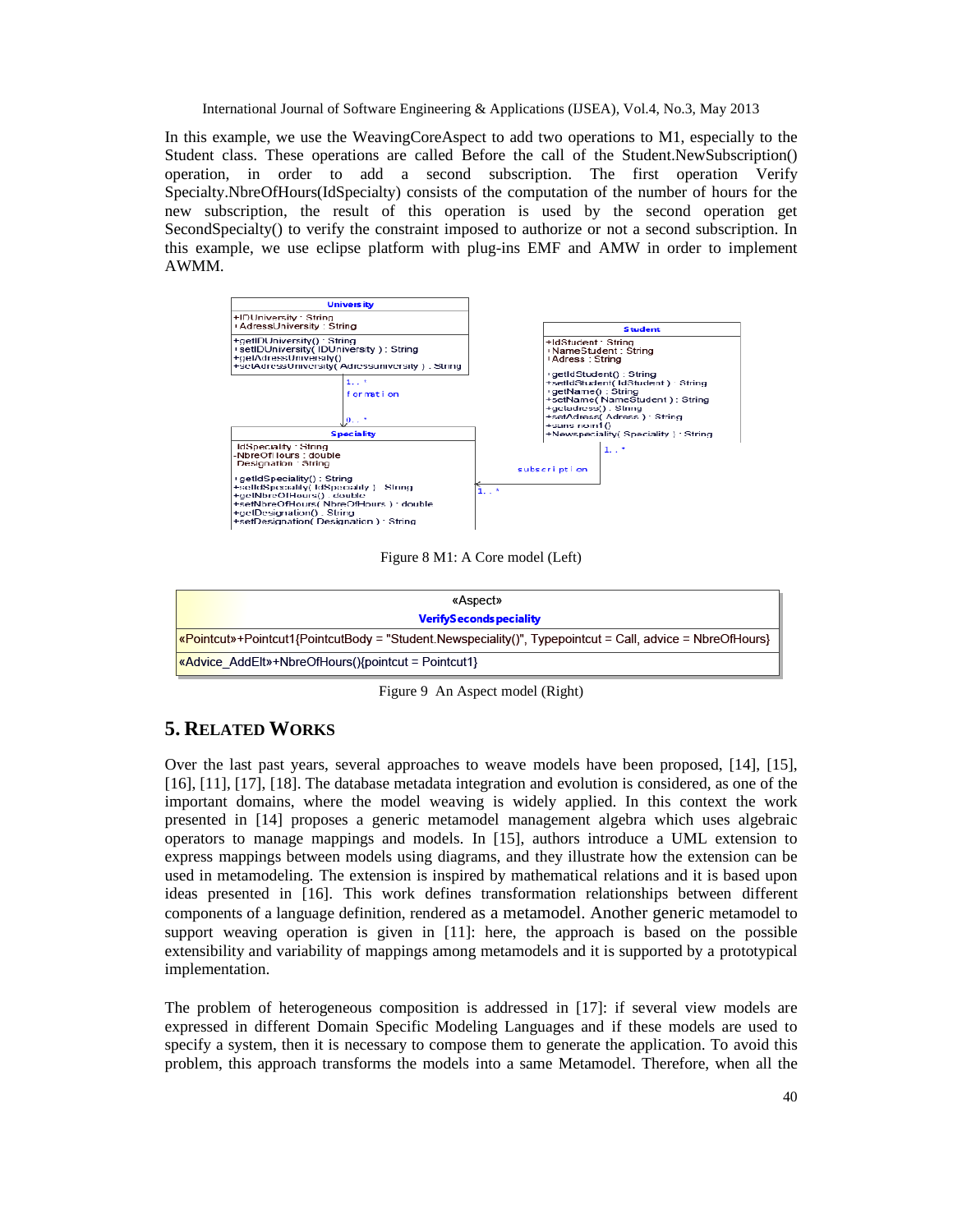In this example, we use the WeavingCoreAspect to add two operations to M1, especially to the Student class. These operations are called Before the call of the Student.NewSubscription() operation, in order to add a second subscription. The first operation Verify Specialty.NbreOfHours(IdSpecialty) consists of the computation of the number of hours for the new subscription, the result of this operation is used by the second operation get SecondSpecialty() to verify the constraint imposed to authorize or not a second subscription. In this example, we use eclipse platform with plug-ins EMF and AMW in order to implement AWMM.



Figure 8 M1: A Core model (Left)



Figure 9 An Aspect model (Right)

# **5. RELATED WORKS**

Over the last past years, several approaches to weave models have been proposed, [14], [15], [16], [11], [17], [18]. The database metadata integration and evolution is considered, as one of the important domains, where the model weaving is widely applied. In this context the work presented in [14] proposes a generic metamodel management algebra which uses algebraic operators to manage mappings and models. In [15], authors introduce a UML extension to express mappings between models using diagrams, and they illustrate how the extension can be used in metamodeling. The extension is inspired by mathematical relations and it is based upon ideas presented in [16]. This work defines transformation relationships between different components of a language definition, rendered as a metamodel. Another generic metamodel to support weaving operation is given in [11]: here, the approach is based on the possible extensibility and variability of mappings among metamodels and it is supported by a prototypical implementation.

The problem of heterogeneous composition is addressed in [17]: if several view models are expressed in different Domain Specific Modeling Languages and if these models are used to specify a system, then it is necessary to compose them to generate the application. To avoid this problem, this approach transforms the models into a same Metamodel. Therefore, when all the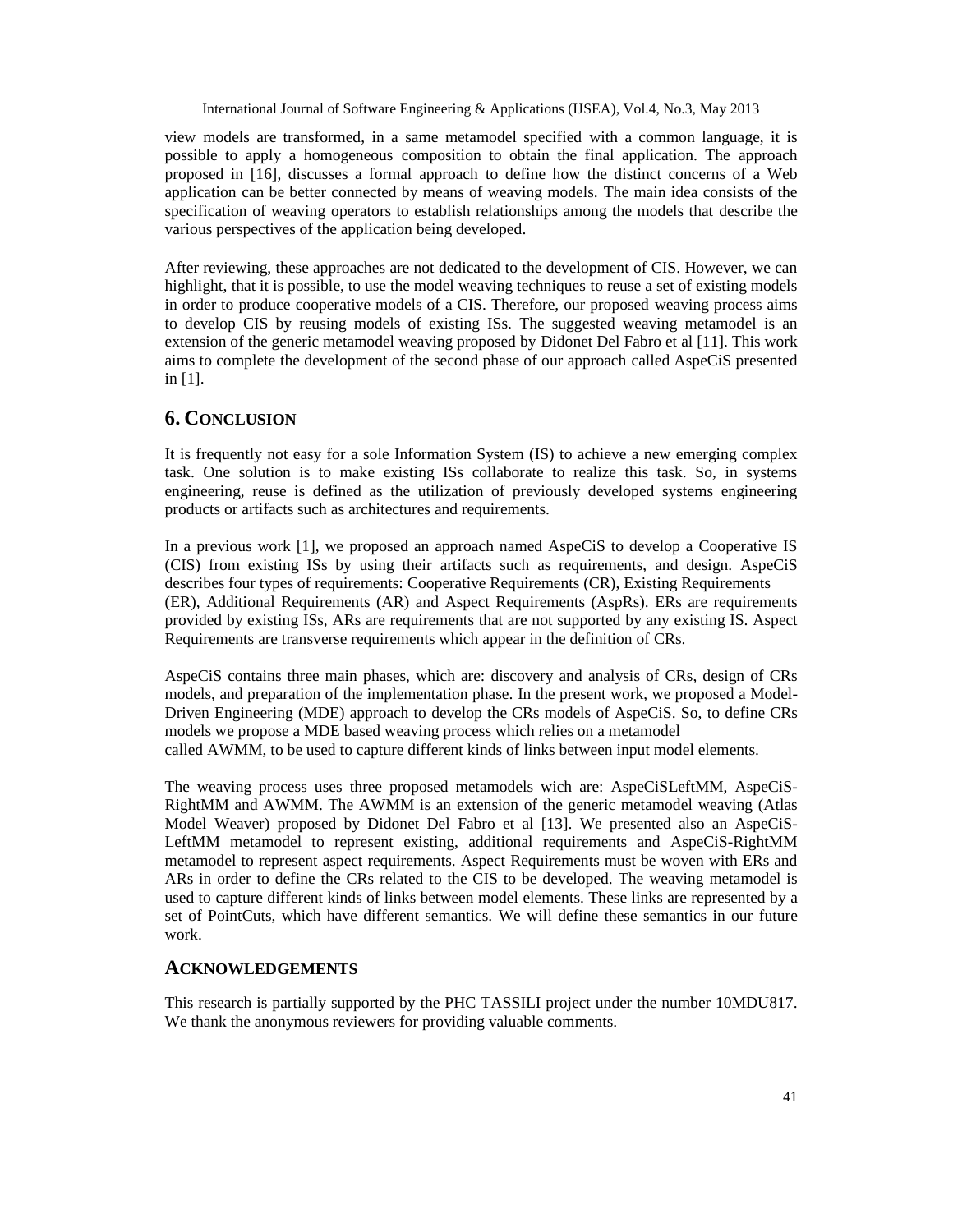view models are transformed, in a same metamodel specified with a common language, it is possible to apply a homogeneous composition to obtain the final application. The approach proposed in [16], discusses a formal approach to define how the distinct concerns of a Web application can be better connected by means of weaving models. The main idea consists of the specification of weaving operators to establish relationships among the models that describe the various perspectives of the application being developed.

After reviewing, these approaches are not dedicated to the development of CIS. However, we can highlight, that it is possible, to use the model weaving techniques to reuse a set of existing models in order to produce cooperative models of a CIS. Therefore, our proposed weaving process aims to develop CIS by reusing models of existing ISs. The suggested weaving metamodel is an extension of the generic metamodel weaving proposed by Didonet Del Fabro et al [11]. This work aims to complete the development of the second phase of our approach called AspeCiS presented in [1].

# **6. CONCLUSION**

It is frequently not easy for a sole Information System (IS) to achieve a new emerging complex task. One solution is to make existing ISs collaborate to realize this task. So, in systems engineering, reuse is defined as the utilization of previously developed systems engineering products or artifacts such as architectures and requirements.

In a previous work [1], we proposed an approach named AspeCiS to develop a Cooperative IS (CIS) from existing ISs by using their artifacts such as requirements, and design. AspeCiS describes four types of requirements: Cooperative Requirements (CR), Existing Requirements (ER), Additional Requirements (AR) and Aspect Requirements (AspRs). ERs are requirements provided by existing ISs, ARs are requirements that are not supported by any existing IS. Aspect Requirements are transverse requirements which appear in the definition of CRs.

AspeCiS contains three main phases, which are: discovery and analysis of CRs, design of CRs models, and preparation of the implementation phase. In the present work, we proposed a Model-Driven Engineering (MDE) approach to develop the CRs models of AspeCiS. So, to define CRs models we propose a MDE based weaving process which relies on a metamodel called AWMM, to be used to capture different kinds of links between input model elements.

The weaving process uses three proposed metamodels wich are: AspeCiSLeftMM, AspeCiS-RightMM and AWMM. The AWMM is an extension of the generic metamodel weaving (Atlas Model Weaver) proposed by Didonet Del Fabro et al [13]. We presented also an AspeCiS-LeftMM metamodel to represent existing, additional requirements and AspeCiS-RightMM metamodel to represent aspect requirements. Aspect Requirements must be woven with ERs and ARs in order to define the CRs related to the CIS to be developed. The weaving metamodel is used to capture different kinds of links between model elements. These links are represented by a set of PointCuts, which have different semantics. We will define these semantics in our future work.

# **ACKNOWLEDGEMENTS**

This research is partially supported by the PHC TASSILI project under the number 10MDU817. We thank the anonymous reviewers for providing valuable comments.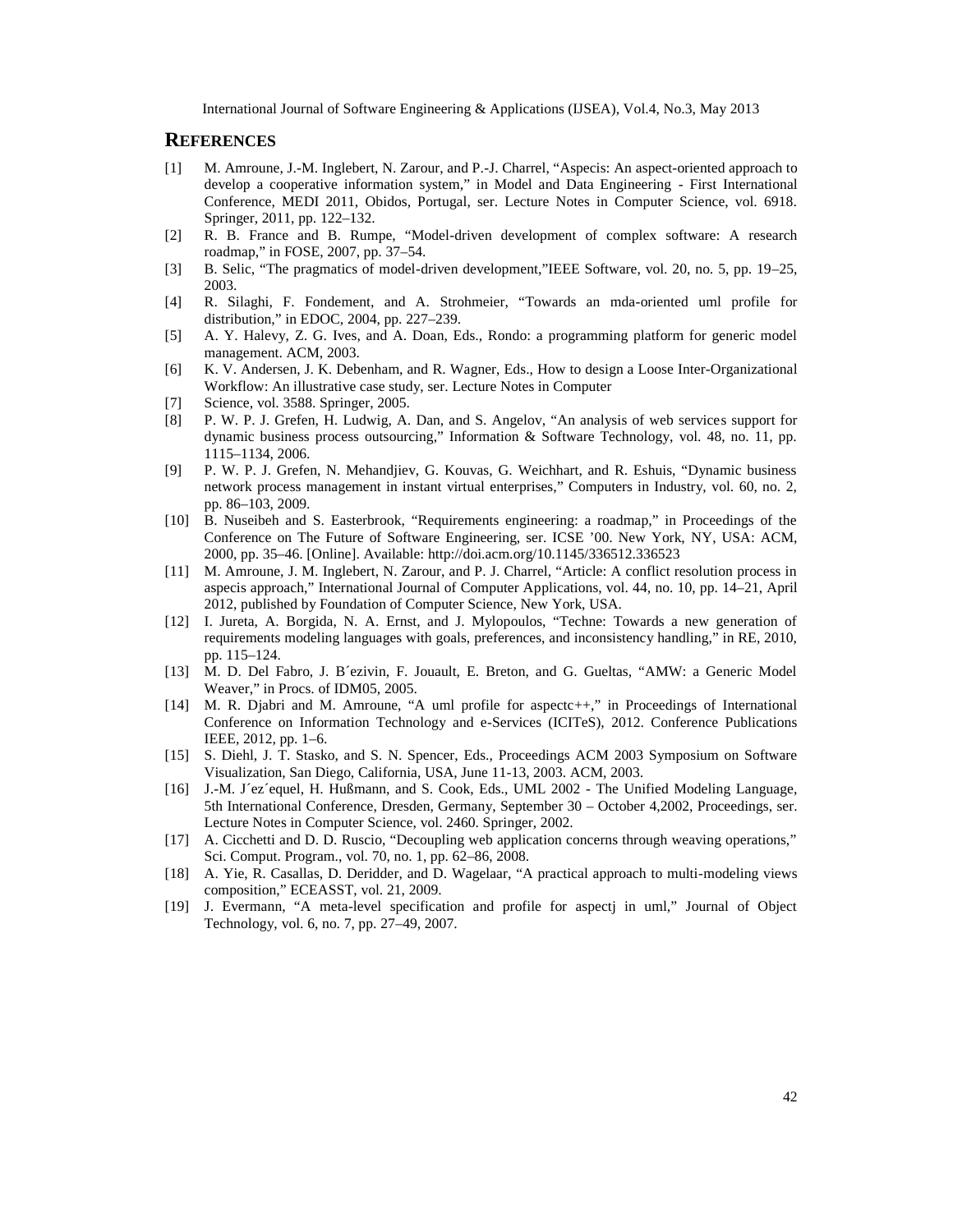### **REFERENCES**

- [1] M. Amroune, J.M. Inglebert, N. Zarour, and R. Charrel, •Aspecis: Anaspectoriented approach to develop a cooperative information system,, in Model and Data Engineer Frigst International Conference, MEDI 2011, Obidos, Portugal, ser. Lecture Notes in Computer Science, vol. 6918. Springer, 2011, pp. 12232.
- [2] R. B. Fance and B. Rumpe, •Modelriven development of complex software: A research roadmap,, in FOSE, 2007, pp. \$54.
- [3] B. Selic, •The pragmatics of modd riven development,, IEEE Software, vol. 20, no. 5, ppf 259 2003.
- [4] R. Silaghi, F. Fondement, and AStrohmeier, •Towards an metariented uml profile for distribution,, in EDOC, 2004, pp. 227239.
- [5] A. Y. Halevy, Z. G. Ives, and A. Doan, Eds., Rondo: a programming platform for generic model management. ACM, 2003.
- [6] K. V. Andersen, J. K. Debenham, ard Wagner, Eds., How to design a Loose Interganizational Workflow: An illustrative case study, ser. Lecture Notes in Computer
- [7] Science, vol. 3588. Springer, 2005.<br>[8] P. W. P. J. Grefen, H. Ludwig, A. I
- P. W. P. J. Grefen, H. Ludwig, A. Dan, and S. Angelov, •An analysis of web sersupport for dynamic business process outsourcing,, Information & Software Technology, vol. 48, no. 11, pp. 1115ƒ1134, 2006.
- [9] P. W. P. J. Grefen, N. Mehandjiev, G. Kouvas, G. Weichhart, and R. Eshuis, •Dynamic business network process management intant virtual enterprises,, Computers in Industry, vol. 60, no. 2, pp. 86ƒ103, 2009.
- [10] B. Nuseibeh and S. Easterbrook, •Requirements engineering: a roadmap,, in Proceedings of the Conference on The Future of Software Engineering, ser. ICSE €00. New NY orkJSA: ACM, 2000, pp. 35ƒ46. [Online]. Available[: http://doi.acm.org/10.11](http://doi.acm.org/10.1145/)45/336512.336523
- [11] M. Amroune, J. M. Inglebert, N. Zarour, and P. J. Charrel, •Article: A conflict resolution process in aspecis approach,, International Journal of Computerlike ations, vol. 44, no. 10, pp. 121, April 2012, published by Foundation of Computer Science, New York, USA.
- [12] I. Jureta, A. Borgida, N. A. Ernst, and J. Mylopoulos, •Techne: Towards a new generation of requirements modeling languages with goals (greences, and inconsistency handling, in RE, 2010, pp. 115ƒ124.
- [13] M. D. Del Fabro, J. B, ezivin, F. Jouault, E. Breton, and G. Gueltas,  $\bullet$ AMW: a Generic Model Weaver., in Procs. of IDM05, 2005.
- [14] M. R. Djabri and M. Amroune,  $\bullet$ A uml profile for aspectic, in Proceedings of International Conference on Information Technology and Envices (ICITeS), 2012. Conference Publications IEEE, 2012, pp. 16.
- [15] S. Diehl, J. T. Stasko, and S. N. Spencer, Eds., Proceedings ACM 2003 Symposium on Software Visualization, San Diego, California, USA, June-13, 2003. ACM, 2003.
- [16] J.-M. J'ez'equel, H. Hußmann, and S. Cook, Eds., UML 2000 e Unified Modeling Language, 5th International Conference, Dresden, Germany, SeptembeO&tober 4,2002, Proceedings, ser. Lecture Notes in Computer Science, vol. 2460. Springer, 2002.
- [17] A. Cicchetti and D. D. Ruscio, •Decoupling web application concerns through weaving operations,, Sci. Comput. Program., vol. 70, no. 1, ppf82, 2008.
- [18] A. Yie, R. Casallas, D. Deriddeand D. Wagelaar, •A practical approach to multi deling views composition,, ECEASST, vol. 21, 2009.
- [19] J. Evermann, •A mettevel specification and profile for aspectj in uml,, Journal of Object Technology, vol. 6, no. 7, pp. 249, 2007.